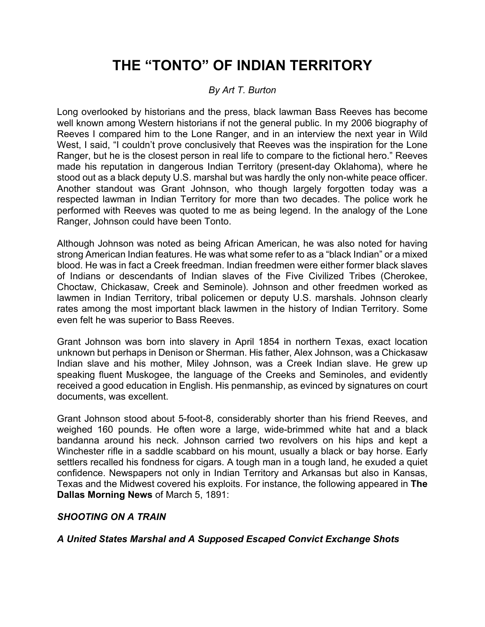# **THE "TONTO" OF INDIAN TERRITORY**

## *By Art T. Burton*

Long overlooked by historians and the press, black lawman Bass Reeves has become well known among Western historians if not the general public. In my 2006 biography of Reeves I compared him to the Lone Ranger, and in an interview the next year in Wild West, I said, "I couldn't prove conclusively that Reeves was the inspiration for the Lone Ranger, but he is the closest person in real life to compare to the fictional hero." Reeves made his reputation in dangerous Indian Territory (present-day Oklahoma), where he stood out as a black deputy U.S. marshal but was hardly the only non-white peace officer. Another standout was Grant Johnson, who though largely forgotten today was a respected lawman in Indian Territory for more than two decades. The police work he performed with Reeves was quoted to me as being legend. In the analogy of the Lone Ranger, Johnson could have been Tonto.

Although Johnson was noted as being African American, he was also noted for having strong American Indian features. He was what some refer to as a "black Indian" or a mixed blood. He was in fact a Creek freedman. Indian freedmen were either former black slaves of Indians or descendants of Indian slaves of the Five Civilized Tribes (Cherokee, Choctaw, Chickasaw, Creek and Seminole). Johnson and other freedmen worked as lawmen in Indian Territory, tribal policemen or deputy U.S. marshals. Johnson clearly rates among the most important black lawmen in the history of Indian Territory. Some even felt he was superior to Bass Reeves.

Grant Johnson was born into slavery in April 1854 in northern Texas, exact location unknown but perhaps in Denison or Sherman. His father, Alex Johnson, was a Chickasaw Indian slave and his mother, Miley Johnson, was a Creek Indian slave. He grew up speaking fluent Muskogee, the language of the Creeks and Seminoles, and evidently received a good education in English. His penmanship, as evinced by signatures on court documents, was excellent.

Grant Johnson stood about 5-foot-8, considerably shorter than his friend Reeves, and weighed 160 pounds. He often wore a large, wide-brimmed white hat and a black bandanna around his neck. Johnson carried two revolvers on his hips and kept a Winchester rifle in a saddle scabbard on his mount, usually a black or bay horse. Early settlers recalled his fondness for cigars. A tough man in a tough land, he exuded a quiet confidence. Newspapers not only in Indian Territory and Arkansas but also in Kansas, Texas and the Midwest covered his exploits. For instance, the following appeared in **The Dallas Morning News** of March 5, 1891:

### *SHOOTING ON A TRAIN*

*A United States Marshal and A Supposed Escaped Convict Exchange Shots*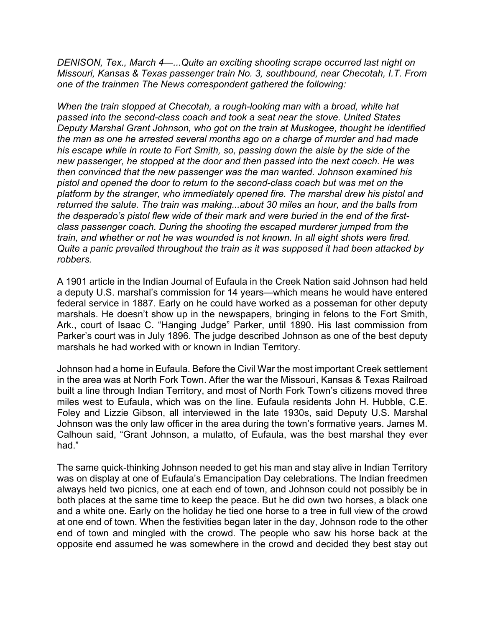*DENISON, Tex., March 4—...Quite an exciting shooting scrape occurred last night on Missouri, Kansas & Texas passenger train No. 3, southbound, near Checotah, I.T. From one of the trainmen The News correspondent gathered the following:* 

*When the train stopped at Checotah, a rough-looking man with a broad, white hat passed into the second-class coach and took a seat near the stove. United States Deputy Marshal Grant Johnson, who got on the train at Muskogee, thought he identified the man as one he arrested several months ago on a charge of murder and had made his escape while in route to Fort Smith, so, passing down the aisle by the side of the new passenger, he stopped at the door and then passed into the next coach. He was then convinced that the new passenger was the man wanted. Johnson examined his pistol and opened the door to return to the second-class coach but was met on the platform by the stranger, who immediately opened fire. The marshal drew his pistol and returned the salute. The train was making...about 30 miles an hour, and the balls from the desperado's pistol flew wide of their mark and were buried in the end of the firstclass passenger coach. During the shooting the escaped murderer jumped from the train, and whether or not he was wounded is not known. In all eight shots were fired. Quite a panic prevailed throughout the train as it was supposed it had been attacked by robbers.* 

A 1901 article in the Indian Journal of Eufaula in the Creek Nation said Johnson had held a deputy U.S. marshal's commission for 14 years—which means he would have entered federal service in 1887. Early on he could have worked as a posseman for other deputy marshals. He doesn't show up in the newspapers, bringing in felons to the Fort Smith, Ark., court of Isaac C. "Hanging Judge" Parker, until 1890. His last commission from Parker's court was in July 1896. The judge described Johnson as one of the best deputy marshals he had worked with or known in Indian Territory.

Johnson had a home in Eufaula. Before the Civil War the most important Creek settlement in the area was at North Fork Town. After the war the Missouri, Kansas & Texas Railroad built a line through Indian Territory, and most of North Fork Town's citizens moved three miles west to Eufaula, which was on the line. Eufaula residents John H. Hubble, C.E. Foley and Lizzie Gibson, all interviewed in the late 1930s, said Deputy U.S. Marshal Johnson was the only law officer in the area during the town's formative years. James M. Calhoun said, "Grant Johnson, a mulatto, of Eufaula, was the best marshal they ever had."

The same quick-thinking Johnson needed to get his man and stay alive in Indian Territory was on display at one of Eufaula's Emancipation Day celebrations. The Indian freedmen always held two picnics, one at each end of town, and Johnson could not possibly be in both places at the same time to keep the peace. But he did own two horses, a black one and a white one. Early on the holiday he tied one horse to a tree in full view of the crowd at one end of town. When the festivities began later in the day, Johnson rode to the other end of town and mingled with the crowd. The people who saw his horse back at the opposite end assumed he was somewhere in the crowd and decided they best stay out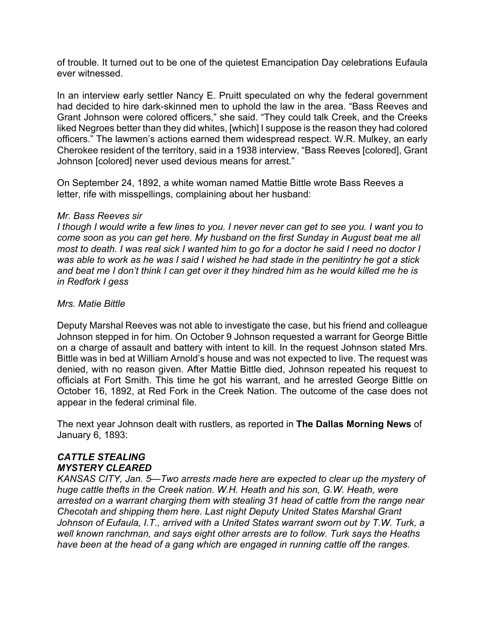of trouble. It turned out to be one of the quietest Emancipation Day celebrations Eufaula ever witnessed.

In an interview early settler Nancy E. Pruitt speculated on why the federal government had decided to hire dark-skinned men to uphold the law in the area. "Bass Reeves and Grant Johnson were colored officers," she said. "They could talk Creek, and the Creeks liked Negroes better than they did whites, [which] I suppose is the reason they had colored officers." The lawmen's actions earned them widespread respect. W.R. Mulkey, an early Cherokee resident of the territory, said in a 1938 interview, "Bass Reeves [colored], Grant Johnson [colored] never used devious means for arrest."

On September 24, 1892, a white woman named Mattie Bittle wrote Bass Reeves a letter, rife with misspellings, complaining about her husband:

#### *Mr. Bass Reeves sir*

*I though I would write a few lines to you. I never never can get to see you. I want you to come soon as you can get here. My husband on the first Sunday in August beat me all most to death. I was real sick I wanted him to go for a doctor he said I need no doctor I was able to work as he was I said I wished he had stade in the penitintry he got a stick and beat me I don't think I can get over it they hindred him as he would killed me he is in Redfork I gess* 

#### *Mrs. Matie Bittle*

Deputy Marshal Reeves was not able to investigate the case, but his friend and colleague Johnson stepped in for him. On October 9 Johnson requested a warrant for George Bittle on a charge of assault and battery with intent to kill. In the request Johnson stated Mrs. Bittle was in bed at William Arnold's house and was not expected to live. The request was denied, with no reason given. After Mattie Bittle died, Johnson repeated his request to officials at Fort Smith. This time he got his warrant, and he arrested George Bittle on October 16, 1892, at Red Fork in the Creek Nation. The outcome of the case does not appear in the federal criminal file.

The next year Johnson dealt with rustlers, as reported in **The Dallas Morning News** of January 6, 1893:

# *CATTLE STEALING MYSTERY CLEARED*

*KANSAS CITY, Jan. 5—Two arrests made here are expected to clear up the mystery of huge cattle thefts in the Creek nation. W.H. Heath and his son, G.W. Heath, were arrested on a warrant charging them with stealing 31 head of cattle from the range near Checotah and shipping them here. Last night Deputy United States Marshal Grant Johnson of Eufaula, I.T., arrived with a United States warrant sworn out by T.W. Turk, a well known ranchman, and says eight other arrests are to follow. Turk says the Heaths have been at the head of a gang which are engaged in running cattle off the ranges.*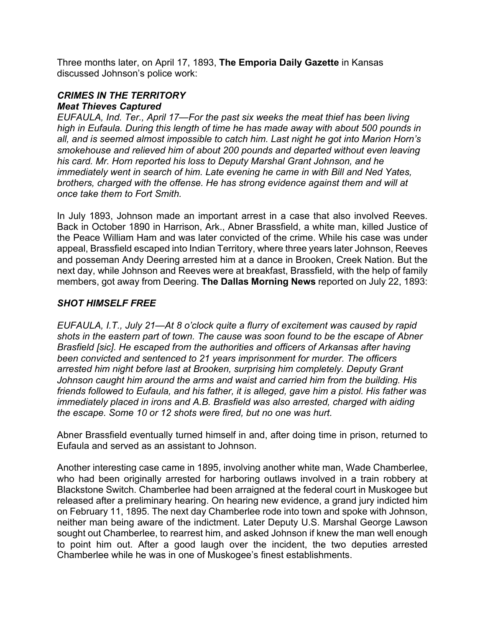Three months later, on April 17, 1893, **The Emporia Daily Gazette** in Kansas discussed Johnson's police work:

## *CRIMES IN THE TERRITORY Meat Thieves Captured*

*EUFAULA, Ind. Ter., April 17—For the past six weeks the meat thief has been living high in Eufaula. During this length of time he has made away with about 500 pounds in all, and is seemed almost impossible to catch him. Last night he got into Marion Horn's smokehouse and relieved him of about 200 pounds and departed without even leaving his card. Mr. Horn reported his loss to Deputy Marshal Grant Johnson, and he immediately went in search of him. Late evening he came in with Bill and Ned Yates, brothers, charged with the offense. He has strong evidence against them and will at once take them to Fort Smith.* 

In July 1893, Johnson made an important arrest in a case that also involved Reeves. Back in October 1890 in Harrison, Ark., Abner Brassfield, a white man, killed Justice of the Peace William Ham and was later convicted of the crime. While his case was under appeal, Brassfield escaped into Indian Territory, where three years later Johnson, Reeves and posseman Andy Deering arrested him at a dance in Brooken, Creek Nation. But the next day, while Johnson and Reeves were at breakfast, Brassfield, with the help of family members, got away from Deering. **The Dallas Morning News** reported on July 22, 1893:

# *SHOT HIMSELF FREE*

*EUFAULA, I.T., July 21—At 8 o'clock quite a flurry of excitement was caused by rapid shots in the eastern part of town. The cause was soon found to be the escape of Abner Brasfield [sic]. He escaped from the authorities and officers of Arkansas after having been convicted and sentenced to 21 years imprisonment for murder. The officers arrested him night before last at Brooken, surprising him completely. Deputy Grant Johnson caught him around the arms and waist and carried him from the building. His friends followed to Eufaula, and his father, it is alleged, gave him a pistol. His father was immediately placed in irons and A.B. Brasfield was also arrested, charged with aiding the escape. Some 10 or 12 shots were fired, but no one was hurt.* 

Abner Brassfield eventually turned himself in and, after doing time in prison, returned to Eufaula and served as an assistant to Johnson.

Another interesting case came in 1895, involving another white man, Wade Chamberlee, who had been originally arrested for harboring outlaws involved in a train robbery at Blackstone Switch. Chamberlee had been arraigned at the federal court in Muskogee but released after a preliminary hearing. On hearing new evidence, a grand jury indicted him on February 11, 1895. The next day Chamberlee rode into town and spoke with Johnson, neither man being aware of the indictment. Later Deputy U.S. Marshal George Lawson sought out Chamberlee, to rearrest him, and asked Johnson if knew the man well enough to point him out. After a good laugh over the incident, the two deputies arrested Chamberlee while he was in one of Muskogee's finest establishments.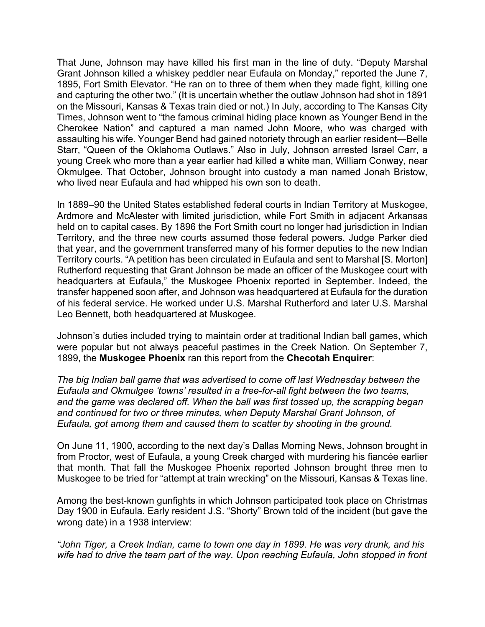That June, Johnson may have killed his first man in the line of duty. "Deputy Marshal Grant Johnson killed a whiskey peddler near Eufaula on Monday," reported the June 7, 1895, Fort Smith Elevator. "He ran on to three of them when they made fight, killing one and capturing the other two." (It is uncertain whether the outlaw Johnson had shot in 1891 on the Missouri, Kansas & Texas train died or not.) In July, according to The Kansas City Times, Johnson went to "the famous criminal hiding place known as Younger Bend in the Cherokee Nation" and captured a man named John Moore, who was charged with assaulting his wife. Younger Bend had gained notoriety through an earlier resident—Belle Starr, "Queen of the Oklahoma Outlaws." Also in July, Johnson arrested Israel Carr, a young Creek who more than a year earlier had killed a white man, William Conway, near Okmulgee. That October, Johnson brought into custody a man named Jonah Bristow, who lived near Eufaula and had whipped his own son to death.

In 1889–90 the United States established federal courts in Indian Territory at Muskogee, Ardmore and McAlester with limited jurisdiction, while Fort Smith in adjacent Arkansas held on to capital cases. By 1896 the Fort Smith court no longer had jurisdiction in Indian Territory, and the three new courts assumed those federal powers. Judge Parker died that year, and the government transferred many of his former deputies to the new Indian Territory courts. "A petition has been circulated in Eufaula and sent to Marshal [S. Morton] Rutherford requesting that Grant Johnson be made an officer of the Muskogee court with headquarters at Eufaula," the Muskogee Phoenix reported in September. Indeed, the transfer happened soon after, and Johnson was headquartered at Eufaula for the duration of his federal service. He worked under U.S. Marshal Rutherford and later U.S. Marshal Leo Bennett, both headquartered at Muskogee.

Johnson's duties included trying to maintain order at traditional Indian ball games, which were popular but not always peaceful pastimes in the Creek Nation. On September 7, 1899, the **Muskogee Phoenix** ran this report from the **Checotah Enquirer**:

*The big Indian ball game that was advertised to come off last Wednesday between the Eufaula and Okmulgee 'towns' resulted in a free-for-all fight between the two teams, and the game was declared off. When the ball was first tossed up, the scrapping began and continued for two or three minutes, when Deputy Marshal Grant Johnson, of Eufaula, got among them and caused them to scatter by shooting in the ground.* 

On June 11, 1900, according to the next day's Dallas Morning News, Johnson brought in from Proctor, west of Eufaula, a young Creek charged with murdering his fiancée earlier that month. That fall the Muskogee Phoenix reported Johnson brought three men to Muskogee to be tried for "attempt at train wrecking" on the Missouri, Kansas & Texas line.

Among the best-known gunfights in which Johnson participated took place on Christmas Day 1900 in Eufaula. Early resident J.S. "Shorty" Brown told of the incident (but gave the wrong date) in a 1938 interview:

*"John Tiger, a Creek Indian, came to town one day in 1899. He was very drunk, and his wife had to drive the team part of the way. Upon reaching Eufaula, John stopped in front*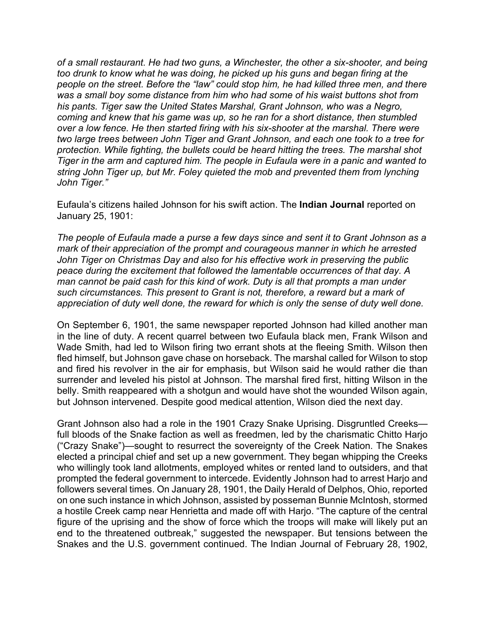*of a small restaurant. He had two guns, a Winchester, the other a six-shooter, and being too drunk to know what he was doing, he picked up his guns and began firing at the people on the street. Before the "law" could stop him, he had killed three men, and there was a small boy some distance from him who had some of his waist buttons shot from his pants. Tiger saw the United States Marshal, Grant Johnson, who was a Negro, coming and knew that his game was up, so he ran for a short distance, then stumbled over a low fence. He then started firing with his six-shooter at the marshal. There were two large trees between John Tiger and Grant Johnson, and each one took to a tree for protection. While fighting, the bullets could be heard hitting the trees. The marshal shot Tiger in the arm and captured him. The people in Eufaula were in a panic and wanted to string John Tiger up, but Mr. Foley quieted the mob and prevented them from lynching John Tiger."* 

Eufaula's citizens hailed Johnson for his swift action. The **Indian Journal** reported on January 25, 1901:

*The people of Eufaula made a purse a few days since and sent it to Grant Johnson as a mark of their appreciation of the prompt and courageous manner in which he arrested John Tiger on Christmas Day and also for his effective work in preserving the public peace during the excitement that followed the lamentable occurrences of that day. A man cannot be paid cash for this kind of work. Duty is all that prompts a man under such circumstances. This present to Grant is not, therefore, a reward but a mark of appreciation of duty well done, the reward for which is only the sense of duty well done.* 

On September 6, 1901, the same newspaper reported Johnson had killed another man in the line of duty. A recent quarrel between two Eufaula black men, Frank Wilson and Wade Smith, had led to Wilson firing two errant shots at the fleeing Smith. Wilson then fled himself, but Johnson gave chase on horseback. The marshal called for Wilson to stop and fired his revolver in the air for emphasis, but Wilson said he would rather die than surrender and leveled his pistol at Johnson. The marshal fired first, hitting Wilson in the belly. Smith reappeared with a shotgun and would have shot the wounded Wilson again, but Johnson intervened. Despite good medical attention, Wilson died the next day.

Grant Johnson also had a role in the 1901 Crazy Snake Uprising. Disgruntled Creeks full bloods of the Snake faction as well as freedmen, led by the charismatic Chitto Harjo ("Crazy Snake")—sought to resurrect the sovereignty of the Creek Nation. The Snakes elected a principal chief and set up a new government. They began whipping the Creeks who willingly took land allotments, employed whites or rented land to outsiders, and that prompted the federal government to intercede. Evidently Johnson had to arrest Harjo and followers several times. On January 28, 1901, the Daily Herald of Delphos, Ohio, reported on one such instance in which Johnson, assisted by posseman Bunnie McIntosh, stormed a hostile Creek camp near Henrietta and made off with Harjo. "The capture of the central figure of the uprising and the show of force which the troops will make will likely put an end to the threatened outbreak," suggested the newspaper. But tensions between the Snakes and the U.S. government continued. The Indian Journal of February 28, 1902,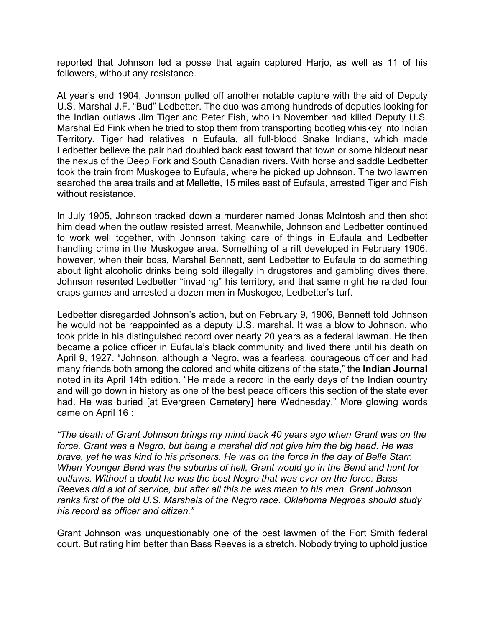reported that Johnson led a posse that again captured Harjo, as well as 11 of his followers, without any resistance.

At year's end 1904, Johnson pulled off another notable capture with the aid of Deputy U.S. Marshal J.F. "Bud" Ledbetter. The duo was among hundreds of deputies looking for the Indian outlaws Jim Tiger and Peter Fish, who in November had killed Deputy U.S. Marshal Ed Fink when he tried to stop them from transporting bootleg whiskey into Indian Territory. Tiger had relatives in Eufaula, all full-blood Snake Indians, which made Ledbetter believe the pair had doubled back east toward that town or some hideout near the nexus of the Deep Fork and South Canadian rivers. With horse and saddle Ledbetter took the train from Muskogee to Eufaula, where he picked up Johnson. The two lawmen searched the area trails and at Mellette, 15 miles east of Eufaula, arrested Tiger and Fish without resistance.

In July 1905, Johnson tracked down a murderer named Jonas McIntosh and then shot him dead when the outlaw resisted arrest. Meanwhile, Johnson and Ledbetter continued to work well together, with Johnson taking care of things in Eufaula and Ledbetter handling crime in the Muskogee area. Something of a rift developed in February 1906, however, when their boss, Marshal Bennett, sent Ledbetter to Eufaula to do something about light alcoholic drinks being sold illegally in drugstores and gambling dives there. Johnson resented Ledbetter "invading" his territory, and that same night he raided four craps games and arrested a dozen men in Muskogee, Ledbetter's turf.

Ledbetter disregarded Johnson's action, but on February 9, 1906, Bennett told Johnson he would not be reappointed as a deputy U.S. marshal. It was a blow to Johnson, who took pride in his distinguished record over nearly 20 years as a federal lawman. He then became a police officer in Eufaula's black community and lived there until his death on April 9, 1927. "Johnson, although a Negro, was a fearless, courageous officer and had many friends both among the colored and white citizens of the state," the **Indian Journal** noted in its April 14th edition. "He made a record in the early days of the Indian country and will go down in history as one of the best peace officers this section of the state ever had. He was buried [at Evergreen Cemetery] here Wednesday." More glowing words came on April 16 :

*"The death of Grant Johnson brings my mind back 40 years ago when Grant was on the force. Grant was a Negro, but being a marshal did not give him the big head. He was brave, yet he was kind to his prisoners. He was on the force in the day of Belle Starr. When Younger Bend was the suburbs of hell, Grant would go in the Bend and hunt for outlaws. Without a doubt he was the best Negro that was ever on the force. Bass Reeves did a lot of service, but after all this he was mean to his men. Grant Johnson ranks first of the old U.S. Marshals of the Negro race. Oklahoma Negroes should study his record as officer and citizen."* 

Grant Johnson was unquestionably one of the best lawmen of the Fort Smith federal court. But rating him better than Bass Reeves is a stretch. Nobody trying to uphold justice